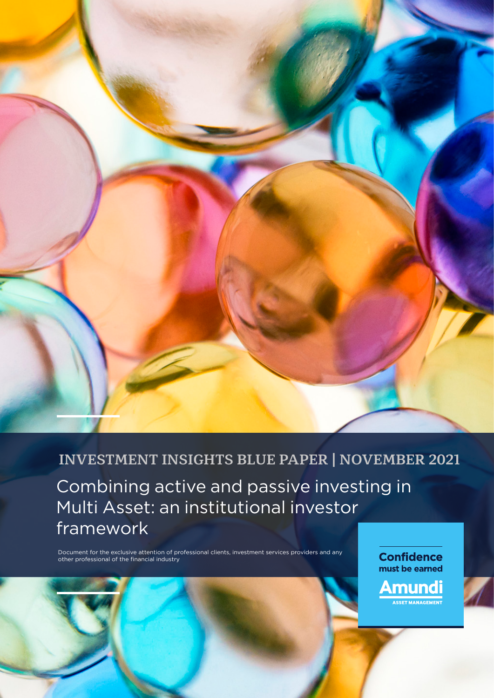

# **INVESTMENT INSIGHTS BLUE PAPER | NOVEMBER 2021**

Combining active and passive investing in Multi Asset: an institutional investor framework

Document for the exclusive attention of professional clients, investment services providers and any other professional of the financial industry

**Confidence** must be earned <u>Amundi</u> **ET MANAGEMENT**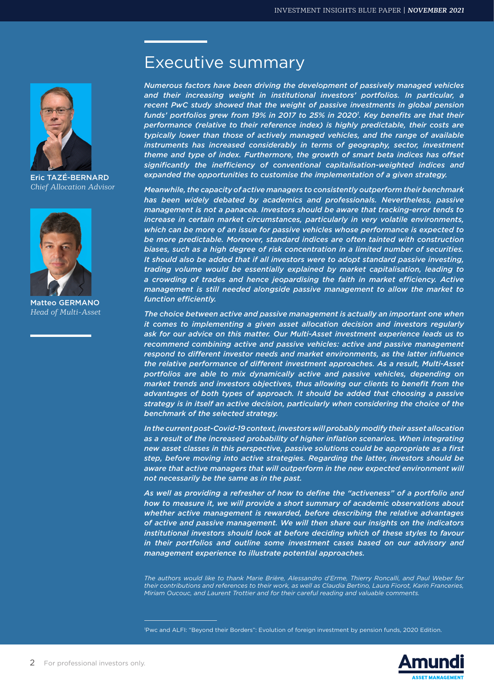

Eric TAZÉ-BERNARD *Chief Allocation Advisor*



Matteo GERMANO *Head of Multi-Asset*

# Executive summary

*Numerous factors have been driving the development of passively managed vehicles and their increasing weight in institutional investors' portfolios. In particular, a recent PwC study showed that the weight of passive investments in global pension funds' portfolios grew from 19% in 2017 to 25% in 20201 . Key benefits are that their performance (relative to their reference index) is highly predictable, their costs are typically lower than those of actively managed vehicles, and the range of available*  instruments has increased considerably in terms of geography, sector, investment *theme and type of index. Furthermore, the growth of smart beta indices has offset significantly the inefficiency of conventional capitalisation-weighted indices and expanded the opportunities to customise the implementation of a given strategy.*

*Meanwhile, the capacity of active managers to consistently outperform their benchmark has been widely debated by academics and professionals. Nevertheless, passive management is not a panacea. Investors should be aware that tracking-error tends to increase in certain market circumstances, particularly in very volatile environments, which can be more of an issue for passive vehicles whose performance is expected to be more predictable. Moreover, standard indices are often tainted with construction biases, such as a high degree of risk concentration in a limited number of securities. It should also be added that if all investors were to adopt standard passive investing, trading volume would be essentially explained by market capitalisation, leading to a crowding of trades and hence jeopardising the faith in market efficiency. Active management is still needed alongside passive management to allow the market to function efficiently.*

*The choice between active and passive management is actually an important one when it comes to implementing a given asset allocation decision and investors regularly ask for our advice on this matter. Our Multi-Asset investment experience leads us to recommend combining active and passive vehicles: active and passive management respond to different investor needs and market environments, as the latter influence the relative performance of different investment approaches. As a result, Multi-Asset portfolios are able to mix dynamically active and passive vehicles, depending on market trends and investors objectives, thus allowing our clients to benefit from the advantages of both types of approach. It should be added that choosing a passive strategy is in itself an active decision, particularly when considering the choice of the benchmark of the selected strategy.*

*In the current post-Covid-19 context, investors will probably modify their asset allocation*  as a result of the increased probability of higher inflation scenarios. When integrating *new asset classes in this perspective, passive solutions could be appropriate as a first step, before moving into active strategies. Regarding the latter, investors should be*  aware that active managers that will outperform in the new expected environment will *not necessarily be the same as in the past.*

*As well as providing a refresher of how to define the "activeness" of a portfolio and how to measure it, we will provide a short summary of academic observations about whether active management is rewarded, before describing the relative advantages of active and passive management. We will then share our insights on the indicators institutional investors should look at before deciding which of these styles to favour*  in their portfolios and outline some investment cases based on our advisory and *management experience to illustrate potential approaches.*

*The authors would like to thank Marie Brière, Alessandro d'Erme, Thierry Roncalli, and Paul Weber for their contributions and references to their work, as well as Claudia Bertino, Laura Fiorot, Karin Franceries, Miriam Oucouc, and Laurent Trottier and for their careful reading and valuable comments.* 

<sup>1</sup> Pwc and ALFI: "Beyond their Borders": Evolution of foreign investment by pension funds, 2020 Edition.

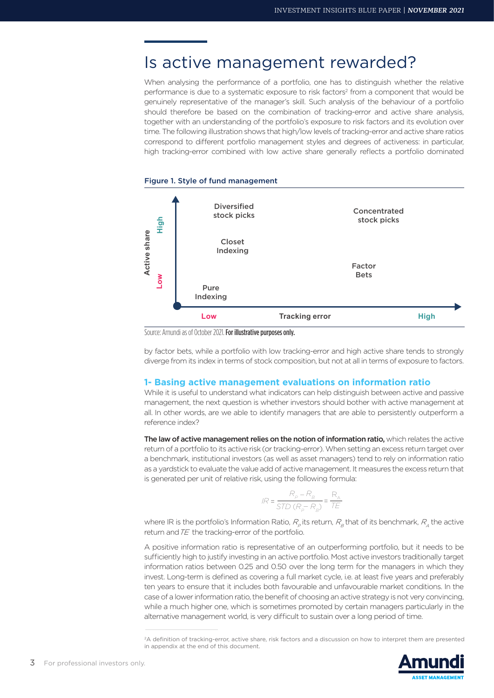# Is active management rewarded?

When analysing the performance of a portfolio, one has to distinguish whether the relative performance is due to a systematic exposure to risk factors<sup>2</sup> from a component that would be genuinely representative of the manager's skill. Such analysis of the behaviour of a portfolio should therefore be based on the combination of tracking-error and active share analysis, together with an understanding of the portfolio's exposure to risk factors and its evolution over time. The following illustration shows that high/low levels of tracking-error and active share ratios correspond to different portfolio management styles and degrees of activeness: in particular, high tracking-error combined with low active share generally reflects a portfolio dominated





by factor bets, while a portfolio with low tracking-error and high active share tends to strongly diverge from its index in terms of stock composition, but not at all in terms of exposure to factors.

# **1- Basing active management evaluations on information ratio**

While it is useful to understand what indicators can help distinguish between active and passive management, the next question is whether investors should bother with active management at all. In other words, are we able to identify managers that are able to persistently outperform a reference index?

The law of active management relies on the notion of information ratio, which relates the active return of a portfolio to its active risk (or tracking-error). When setting an excess return target over a benchmark, institutional investors (as well as asset managers) tend to rely on information ratio as a yardstick to evaluate the value add of active management. It measures the excess return that is generated per unit of relative risk, using the following formula:

$$
IR = \frac{R_p - R_B}{STD (R_p - R_B)} = \frac{R_A}{TE}
$$

where IR is the portfolio's Information Ratio,  $R_{\rho}$  its return,  $R_{\rho}$  that of its benchmark,  $R_{\mu}$  the active return and  $TE$  the tracking-error of the portfolio.

A positive information ratio is representative of an outperforming portfolio, but it needs to be sufficiently high to justify investing in an active portfolio. Most active investors traditionally target information ratios between 0.25 and 0.50 over the long term for the managers in which they invest. Long-term is defined as covering a full market cycle, i.e. at least five years and preferably ten years to ensure that it includes both favourable and unfavourable market conditions. In the case of a lower information ratio, the benefit of choosing an active strategy is not very convincing, while a much higher one, which is sometimes promoted by certain managers particularly in the alternative management world, is very difficult to sustain over a long period of time.

<sup>&</sup>lt;sup>2</sup>A definition of tracking-error, active share, risk factors and a discussion on how to interpret them are presented in appendix at the end of this document.

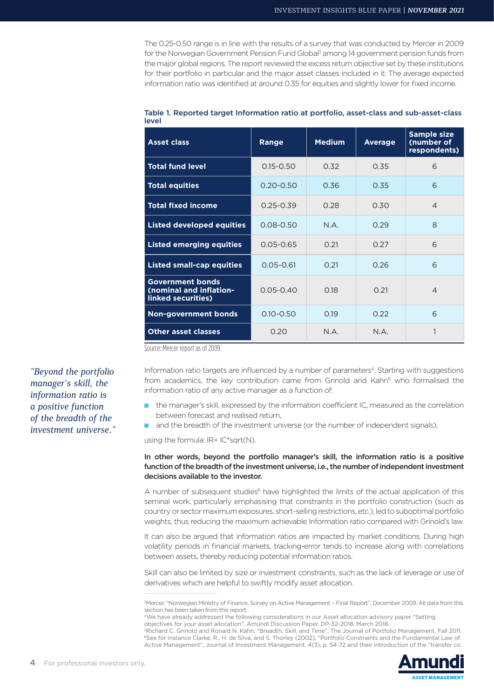The 0.25-0.50 range is in line with the results of a survey that was conducted by Mercer in 2009 for the Norwegian Government Pension Fund Global<sup>3</sup> among 14 government pension funds from the major global regions. The report reviewed the excess return objective set by these institutions for their portfolio in particular and the major asset classes included in it. The average expected information ratio was identified at around 0.35 for equities and slightly lower for fixed income.

| <b>Asset class</b>                                                       | Range         | <b>Medium</b> | <b>Average</b> | <b>Sample size</b><br>(number of<br>respondents) |
|--------------------------------------------------------------------------|---------------|---------------|----------------|--------------------------------------------------|
| <b>Total fund level</b>                                                  | $0.15 - 0.50$ | 0.32          | 0.35           | 6                                                |
| <b>Total equities</b>                                                    | $0.20 - 0.50$ | 0.36          | 0.35           | 6                                                |
| <b>Total fixed income</b>                                                | $0.25 - 0.39$ | 0.28          | 0.30           | $\overline{4}$                                   |
| <b>Listed developed equities</b>                                         | $0.08 - 0.50$ | N.A.          | 0.29           | 8                                                |
| <b>Listed emerging equities</b>                                          | $0.05 - 0.65$ | 0.21          | 0.27           | 6                                                |
| <b>Listed small-cap equities</b>                                         | $0.05 - 0.61$ | 0.21          | 0.26           | 6                                                |
| <b>Government bonds</b><br>(nominal and inflation-<br>linked securities) | $0.05 - 0.40$ | 0.18          | 0.21           | $\overline{4}$                                   |
| <b>Non-government bonds</b>                                              | $0.10 - 0.50$ | 0.19          | 0.22           | 6                                                |
| <b>Other asset classes</b>                                               | 0.20          | N.A.          | N.A.           | 1                                                |

| Table 1. Reported target Information ratio at portfolio, asset-class and sub-asset-class |  |
|------------------------------------------------------------------------------------------|--|
| level                                                                                    |  |

Source: Mercer report as of 2009.

Information ratio targets are influenced by a number of parameters<sup>4</sup>. Starting with suggestions from academics, the key contribution came from Grinold and Kahn<sup>5</sup> who formalised the information ratio of any active manager as a function of:

- the manager's skill, expressed by the information coefficient IC, measured as the correlation between forecast and realised return,
- and the breadth of the investment universe (or the number of independent signals),

using the formula: IR= IC\*sgrt(N).

## In other words, beyond the portfolio manager's skill, the information ratio is a positive function of the breadth of the investment universe, i.e., the number of independent investment decisions available to the investor.

A number of subsequent studies<sup>6</sup> have highlighted the limits of the actual application of this seminal work, particularly emphasising that constraints in the portfolio construction (such as country or sector maximum exposures, short-selling restrictions, etc.), led to suboptimal portfolio weights, thus reducing the maximum achievable Information ratio compared with Grinold's law.

It can also be argued that information ratios are impacted by market conditions. During high volatility periods in financial markets, tracking-error tends to increase along with correlations between assets, thereby reducing potential information ratios.

Skill can also be limited by size or investment constraints, such as the lack of leverage or use of derivatives which are helpful to swiftly modify asset allocation.

<sup>5</sup>Richard C. Grinold and Ronald N. Kahn, "Breadth, Skill, and Time", The Journal of Portfolio Management, Fall 2011. 6See for instance Clarke, R., H. de Silva, and S. Thorley (2002), "Portfolio Constraints and the Fundamental Law of Active Management", Journal of Investment Management, 4(3), p. 54-72 and their introduction of the "transfer co.



*"Beyond the portfolio manager's skill, the information ratio is a positive function of the breadth of the investment universe."*

<sup>3</sup> Mercer, "Norwegian Ministry of Finance, Survey on Active Management – Final Report", December 2009. All data from this section has been taken from this report.

<sup>4</sup>We have already addressed the following considerations in our Asset allocation advisory paper "Setting

objectives for your asset allocation", Amundi Discussion Paper, DP-32-2018, March 2018.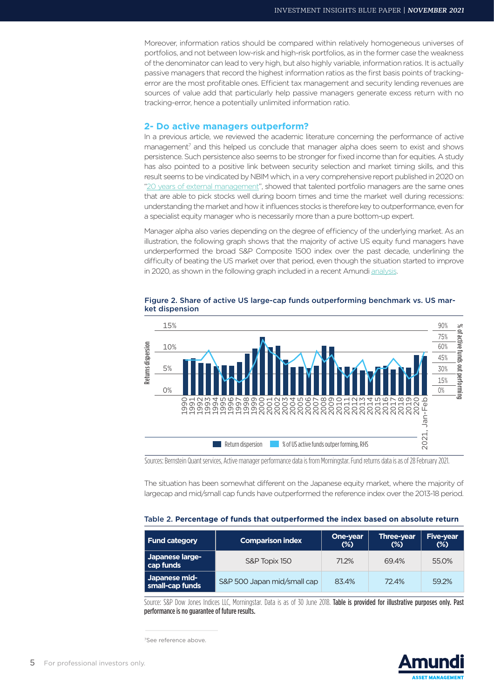Moreover, information ratios should be compared within relatively homogeneous universes of portfolios, and not between low-risk and high-risk portfolios, as in the former case the weakness of the denominator can lead to very high, but also highly variable, information ratios. It is actually passive managers that record the highest information ratios as the first basis points of trackingerror are the most profitable ones. Efficient tax management and security lending revenues are sources of value add that particularly help passive managers generate excess return with no tracking-error, hence a potentially unlimited information ratio.

### **2- Do active managers outperform?**

In a previous article, we reviewed the academic literature concerning the performance of active management<sup>7</sup> and this helped us conclude that manager alpha does seem to exist and shows persistence. Such persistence also seems to be stronger for fixed income than for equities. A study has also pointed to a positive link between security selection and market timing skills, and this result seems to be vindicated by NBIM which, in a very comprehensive report published in 2020 on "20 years of external management", showed that talented portfolio managers are the same ones that are able to pick stocks well during boom times and time the market well during recessions: understanding the market and how it influences stocks is therefore key to outperformance, even for a specialist equity manager who is necessarily more than a pure bottom-up expert.

Manager alpha also varies depending on the degree of efficiency of the underlying market. As an illustration, the following graph shows that the majority of active US equity fund managers have underperformed the broad S&P Composite 1500 index over the past decade, underlining the difficulty of beating the US market over that period, even though the situation started to improve in 2020, as shown in the following graph included in a recent Amundi analysis.



Figure 2. Share of active US large-cap funds outperforming benchmark vs. US market dispension

The situation has been somewhat different on the Japanese equity market, where the majority of largecap and mid/small cap funds have outperformed the reference index over the 2013-18 period.

# Table 2. **Percentage of funds that outperformed the index based on absolute return**

| Fund category                    | <b>Comparison index</b>     | <b>One-year</b><br>$(\%)$ | <b>Three-year</b><br>$(\%)$ | <b>Five-year</b><br>$(\%)$ |
|----------------------------------|-----------------------------|---------------------------|-----------------------------|----------------------------|
| Japanese large-<br>cap funds     | S&P Topix 150               | 71.2%                     | 69.4%                       | 55.0%                      |
| Japanese mid-<br>small-cap funds | S&P 500 Japan mid/small cap | 83.4%                     | 72.4%                       | 59.2%                      |

Source: S&P Dow Jones Indices LLC, Morningstar. Data is as of 30 June 2018. Table is provided for illustrative purposes only. Past performance is no guarantee of future results.

7See reference above.

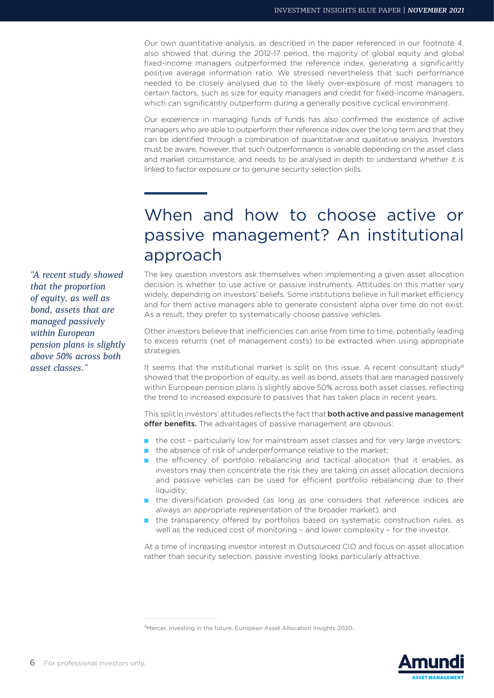Our own quantitative analysis, as described in the paper referenced in our footnote 4, also showed that during the 2012-17 period, the majority of global equity and global fixed-income managers outperformed the reference index, generating a significantly positive average information ratio. We stressed nevertheless that such performance needed to be closely analysed due to the likely over-exposure of most managers to certain factors, such as size for equity managers and credit for fixed-income managers, which can significantly outperform during a generally positive cyclical environment.

Our experience in managing funds of funds has also confirmed the existence of active managers who are able to outperform their reference index over the long term and that they can be identified through a combination of quantitative and qualitative analysis. Investors must be aware, however, that such outperformance is variable depending on the asset class and market circumstance, and needs to be analysed in depth to understand whether it is linked to factor exposure or to genuine security selection skills.

# When and how to choose active or passive management? An institutional approach

The key question investors ask themselves when implementing a given asset allocation decision is whether to use active or passive instruments. Attitudes on this matter vary widely, depending on investors' beliefs. Some institutions believe in full market efficiency and for them active managers able to generate consistent alpha over time do not exist. As a result, they prefer to systematically choose passive vehicles.

Other investors believe that inefficiencies can arise from time to time, potentially leading to excess returns (net of management costs) to be extracted when using appropriate strategies.

It seems that the institutional market is split on this issue. A recent consultant study<sup>8</sup> showed that the proportion of equity, as well as bond, assets that are managed passively within European pension plans is slightly above 50% across both asset classes, reflecting the trend to increased exposure to passives that has taken place in recent years.

This split in investors' attitudes reflects the fact that **both active and passive management** offer benefits. The advantages of passive management are obvious:

- the cost particularly low for mainstream asset classes and for very large investors;
- the absence of risk of underperformance relative to the market;
- the efficiency of portfolio rebalancing and tactical allocation that it enables, as investors may then concentrate the risk they are taking on asset allocation decisions and passive vehicles can be used for efficient portfolio rebalancing due to their liquidity;
- the diversification provided (as long as one considers that reference indices are always an appropriate representation of the broader market), and
- the transparency offered by portfolios based on systematic construction rules, as well as the reduced cost of monitoring – and lower complexity – for the investor.

At a time of increasing investor interest in Outsourced CIO and focus on asset allocation rather than security selection, passive investing looks particularly attractive.

*"A recent study showed that the proportion of equity, as well as bond, assets that are managed passively within European pension plans is slightly above 50% across both asset classes."*



<sup>&</sup>lt;sup>8</sup>Mercer, Investing in the future, European Asset Allocation Insights 2020.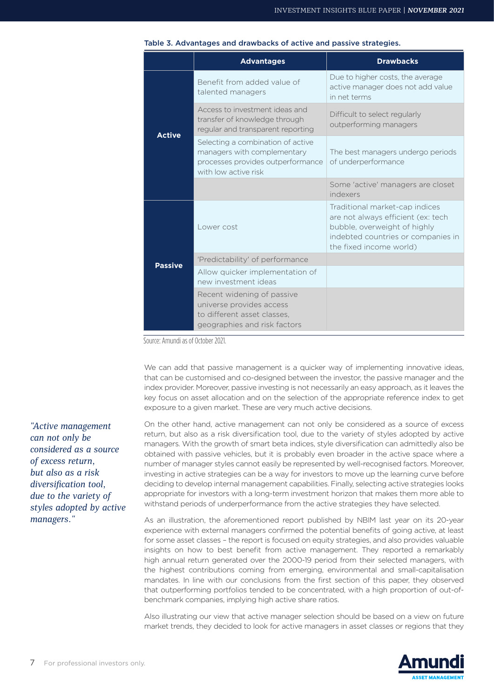|                | <b>Advantages</b>                                                                                                             | <b>Drawbacks</b>                                                                                                                                                      |
|----------------|-------------------------------------------------------------------------------------------------------------------------------|-----------------------------------------------------------------------------------------------------------------------------------------------------------------------|
| <b>Active</b>  | Benefit from added value of<br>talented managers                                                                              | Due to higher costs, the average<br>active manager does not add value<br>in net terms                                                                                 |
|                | Access to investment ideas and<br>transfer of knowledge through<br>regular and transparent reporting                          | Difficult to select regularly<br>outperforming managers                                                                                                               |
|                | Selecting a combination of active<br>managers with complementary<br>processes provides outperformance<br>with low active risk | The best managers undergo periods<br>of underperformance                                                                                                              |
|                |                                                                                                                               | Some 'active' managers are closet<br>indexers                                                                                                                         |
| <b>Passive</b> | Lower cost                                                                                                                    | Traditional market-cap indices<br>are not always efficient (ex: tech<br>bubble, overweight of highly<br>indebted countries or companies in<br>the fixed income world) |
|                | 'Predictability' of performance                                                                                               |                                                                                                                                                                       |
|                | Allow quicker implementation of<br>new investment ideas                                                                       |                                                                                                                                                                       |
|                | Recent widening of passive<br>universe provides access<br>to different asset classes,<br>geographies and risk factors         |                                                                                                                                                                       |

#### Table 3. Advantages and drawbacks of active and passive strategies.

Source: Amundi as of October 2021.

We can add that passive management is a quicker way of implementing innovative ideas, that can be customised and co-designed between the investor, the passive manager and the index provider. Moreover, passive investing is not necessarily an easy approach, as it leaves the key focus on asset allocation and on the selection of the appropriate reference index to get exposure to a given market. These are very much active decisions.

On the other hand, active management can not only be considered as a source of excess return, but also as a risk diversification tool, due to the variety of styles adopted by active managers. With the growth of smart beta indices, style diversification can admittedly also be obtained with passive vehicles, but it is probably even broader in the active space where a number of manager styles cannot easily be represented by well-recognised factors. Moreover, investing in active strategies can be a way for investors to move up the learning curve before deciding to develop internal management capabilities. Finally, selecting active strategies looks appropriate for investors with a long-term investment horizon that makes them more able to withstand periods of underperformance from the active strategies they have selected.

As an illustration, the aforementioned report published by NBIM last year on its 20-year experience with external managers confirmed the potential benefits of going active, at least for some asset classes – the report is focused on equity strategies, and also provides valuable insights on how to best benefit from active management. They reported a remarkably high annual return generated over the 2000-19 period from their selected managers, with the highest contributions coming from emerging, environmental and small-capitalisation mandates. In line with our conclusions from the first section of this paper, they observed that outperforming portfolios tended to be concentrated, with a high proportion of out-ofbenchmark companies, implying high active share ratios.

Also illustrating our view that active manager selection should be based on a view on future market trends, they decided to look for active managers in asset classes or regions that they

*"Active management can not only be considered as a source of excess return, but also as a risk diversification tool, due to the variety of styles adopted by active managers."*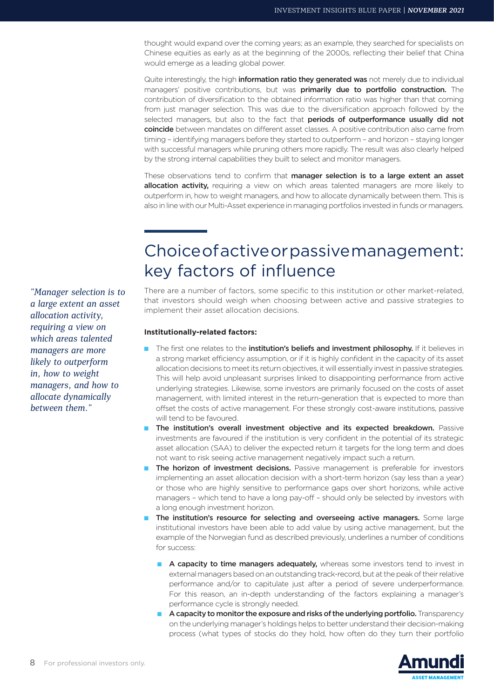thought would expand over the coming years; as an example, they searched for specialists on Chinese equities as early as at the beginning of the 2000s, reflecting their belief that China would emerge as a leading global power.

Quite interestingly, the high **information ratio they generated was** not merely due to individual managers' positive contributions, but was primarily due to portfolio construction. The contribution of diversification to the obtained information ratio was higher than that coming from just manager selection. This was due to the diversification approach followed by the selected managers, but also to the fact that periods of outperformance usually did not coincide between mandates on different asset classes. A positive contribution also came from timing – identifying managers before they started to outperform – and horizon – staying longer with successful managers while pruning others more rapidly. The result was also clearly helped by the strong internal capabilities they built to select and monitor managers.

These observations tend to confirm that manager selection is to a large extent an asset allocation activity, requiring a view on which areas talented managers are more likely to outperform in, how to weight managers, and how to allocate dynamically between them. This is also in line with our Multi-Asset experience in managing portfolios invested in funds or managers.

# Choice of active or passive management: key factors of influence

There are a number of factors, some specific to this institution or other market-related, that investors should weigh when choosing between active and passive strategies to implement their asset allocation decisions.

## **Institutionally-related factors:**

- The first one relates to the institution's beliefs and investment philosophy. If it believes in a strong market efficiency assumption, or if it is highly confident in the capacity of its asset allocation decisions to meet its return objectives, it will essentially invest in passive strategies. This will help avoid unpleasant surprises linked to disappointing performance from active underlying strategies. Likewise, some investors are primarily focused on the costs of asset management, with limited interest in the return-generation that is expected to more than offset the costs of active management. For these strongly cost-aware institutions, passive will tend to be favoured.
- The institution's overall investment objective and its expected breakdown. Passive investments are favoured if the institution is very confident in the potential of its strategic asset allocation (SAA) to deliver the expected return it targets for the long term and does not want to risk seeing active management negatively impact such a return.
- The horizon of investment decisions. Passive management is preferable for investors implementing an asset allocation decision with a short-term horizon (say less than a year) or those who are highly sensitive to performance gaps over short horizons, while active managers – which tend to have a long pay-off – should only be selected by investors with a long enough investment horizon.
- The institution's resource for selecting and overseeing active managers. Some large institutional investors have been able to add value by using active management, but the example of the Norwegian fund as described previously, underlines a number of conditions for success:
	- A capacity to time managers adequately, whereas some investors tend to invest in external managers based on an outstanding track-record, but at the peak of their relative performance and/or to capitulate just after a period of severe underperformance. For this reason, an in-depth understanding of the factors explaining a manager's performance cycle is strongly needed.
	- A capacity to monitor the exposure and risks of the underlying portfolio. Transparency on the underlying manager's holdings helps to better understand their decision-making process (what types of stocks do they hold, how often do they turn their portfolio



*"Manager selection is to a large extent an asset allocation activity, requiring a view on which areas talented managers are more likely to outperform in, how to weight managers, and how to allocate dynamically between them."*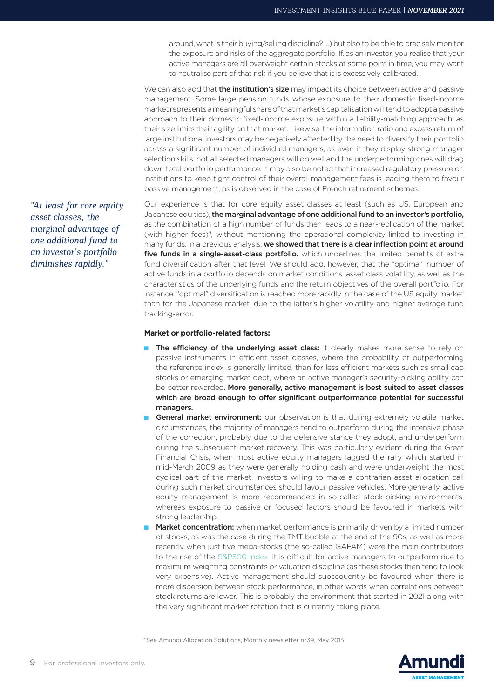around, what is their buying/selling discipline? …) but also to be able to precisely monitor the exposure and risks of the aggregate portfolio. If, as an investor, you realise that your active managers are all overweight certain stocks at some point in time, you may want to neutralise part of that risk if you believe that it is excessively calibrated.

We can also add that the institution's size may impact its choice between active and passive management. Some large pension funds whose exposure to their domestic fixed-income market represents a meaningful share of that market's capitalisation will tend to adopt a passive approach to their domestic fixed-income exposure within a liability-matching approach, as their size limits their agility on that market. Likewise, the information ratio and excess return of large institutional investors may be negatively affected by the need to diversify their portfolio across a significant number of individual managers, as even if they display strong manager selection skills, not all selected managers will do well and the underperforming ones will drag down total portfolio performance. It may also be noted that increased regulatory pressure on institutions to keep tight control of their overall management fees is leading them to favour passive management, as is observed in the case of French retirement schemes.

Our experience is that for core equity asset classes at least (such as US, European and Japanese equities), the marginal advantage of one additional fund to an investor's portfolio, as the combination of a high number of funds then leads to a near-replication of the market (with higher fees)9, without mentioning the operational complexity linked to investing in many funds. In a previous analysis, we showed that there is a clear inflection point at around five funds in a single-asset-class portfolio. which underlines the limited benefits of extra fund diversification after that level. We should add, however, that the "optimal" number of active funds in a portfolio depends on market conditions, asset class volatility, as well as the characteristics of the underlying funds and the return objectives of the overall portfolio. For instance, "optimal" diversification is reached more rapidly in the case of the US equity market than for the Japanese market, due to the latter's higher volatility and higher average fund tracking-error.

#### **Market or portfolio-related factors:**

- The efficiency of the underlying asset class: it clearly makes more sense to rely on passive instruments in efficient asset classes, where the probability of outperforming the reference index is generally limited, than for less efficient markets such as small cap stocks or emerging market debt, where an active manager's security-picking ability can be better rewarded. More generally, active management is best suited to asset classes which are broad enough to offer significant outperformance potential for successful managers.
- General market environment: our observation is that during extremely volatile market circumstances, the majority of managers tend to outperform during the intensive phase of the correction, probably due to the defensive stance they adopt, and underperform during the subsequent market recovery. This was particularly evident during the Great Financial Crisis, when most active equity managers lagged the rally which started in mid-March 2009 as they were generally holding cash and were underweight the most cyclical part of the market. Investors willing to make a contrarian asset allocation call during such market circumstances should favour passive vehicles. More generally, active equity management is more recommended in so-called stock-picking environments, whereas exposure to passive or focused factors should be favoured in markets with strong leadership.
- Market concentration: when market performance is primarily driven by a limited number of stocks, as was the case during the TMT bubble at the end of the 90s, as well as more recently when just five mega-stocks (the so-called GAFAM) were the main contributors to the rise of the S&P500 index, it is difficult for active managers to outperform due to maximum weighting constraints or valuation discipline (as these stocks then tend to look very expensive). Active management should subsequently be favoured when there is more dispersion between stock performance, in other words when correlations between stock returns are lower. This is probably the environment that started in 2021 along with the very significant market rotation that is currently taking place.



*"At least for core equity asset classes, the marginal advantage of one additional fund to an investor's portfolio diminishes rapidly."*

<sup>9</sup>See Amundi Allocation Solutions, Monthly newsletter n°39, May 2015.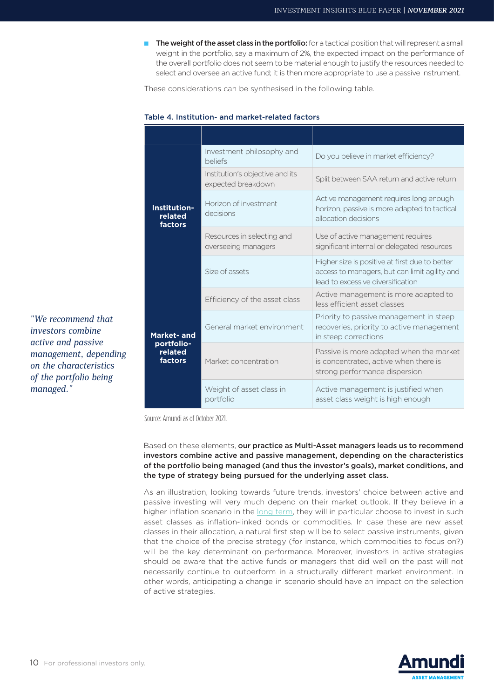The weight of the asset class in the portfolio: for a tactical position that will represent a small weight in the portfolio, say a maximum of 2%, the expected impact on the performance of the overall portfolio does not seem to be material enough to justify the resources needed to select and oversee an active fund; it is then more appropriate to use a passive instrument.

These considerations can be synthesised in the following table.

## Table 4. Institution- and market-related factors

| Institution-<br>related<br>factors<br><b>Market-and</b><br>portfolio-<br>related<br>factors | Investment philosophy and<br><b>beliefs</b>           | Do you believe in market efficiency?                                                                                                 |  |
|---------------------------------------------------------------------------------------------|-------------------------------------------------------|--------------------------------------------------------------------------------------------------------------------------------------|--|
|                                                                                             | Institution's objective and its<br>expected breakdown | Split between SAA return and active return                                                                                           |  |
|                                                                                             | Horizon of investment<br>decisions                    | Active management requires long enough<br>horizon, passive is more adapted to tactical<br>allocation decisions                       |  |
|                                                                                             | Resources in selecting and<br>overseeing managers     | Use of active management requires<br>significant internal or delegated resources                                                     |  |
|                                                                                             | Size of assets                                        | Higher size is positive at first due to better<br>access to managers, but can limit agility and<br>lead to excessive diversification |  |
|                                                                                             | Efficiency of the asset class                         | Active management is more adapted to<br>less efficient asset classes                                                                 |  |
|                                                                                             | General market environment                            | Priority to passive management in steep<br>recoveries, priority to active management<br>in steep corrections                         |  |
|                                                                                             | Market concentration                                  | Passive is more adapted when the market<br>is concentrated, active when there is<br>strong performance dispersion                    |  |
|                                                                                             | Weight of asset class in<br>portfolio                 | Active management is justified when<br>asset class weight is high enough                                                             |  |

Source: Amundi as of October 2021.

Based on these elements, our practice as Multi-Asset managers leads us to recommend investors combine active and passive management, depending on the characteristics of the portfolio being managed (and thus the investor's goals), market conditions, and the type of strategy being pursued for the underlying asset class.

As an illustration, looking towards future trends, investors' choice between active and passive investing will very much depend on their market outlook. If they believe in a higher inflation scenario in the long term, they will in particular choose to invest in such asset classes as inflation-linked bonds or commodities. In case these are new asset classes in their allocation, a natural first step will be to select passive instruments, given that the choice of the precise strategy (for instance, which commodities to focus on?) will be the key determinant on performance. Moreover, investors in active strategies should be aware that the active funds or managers that did well on the past will not necessarily continue to outperform in a structurally different market environment. In other words, anticipating a change in scenario should have an impact on the selection of active strategies.



*"We recommend that investors combine active and passive management, depending on the characteristics of the portfolio being* 

*managed."*

10 For professional investors only.

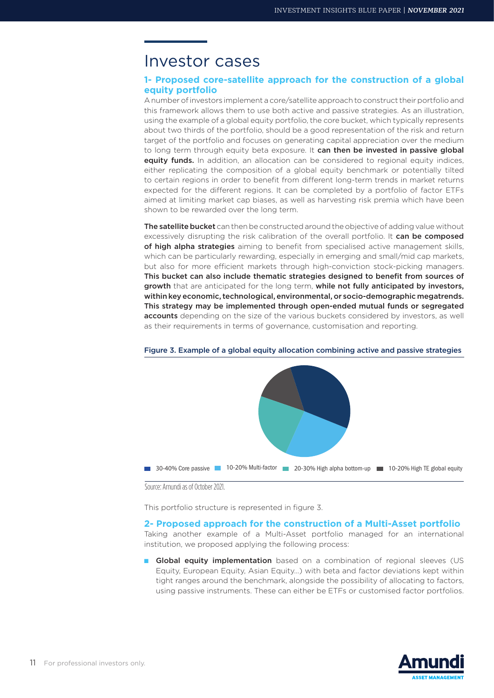# Investor cases

# **1- Proposed core-satellite approach for the construction of a global equity portfolio**

A number of investors implement a core/satellite approach to construct their portfolio and this framework allows them to use both active and passive strategies. As an illustration, using the example of a global equity portfolio, the core bucket, which typically represents about two thirds of the portfolio, should be a good representation of the risk and return target of the portfolio and focuses on generating capital appreciation over the medium to long term through equity beta exposure. It can then be invested in passive global equity funds. In addition, an allocation can be considered to regional equity indices, either replicating the composition of a global equity benchmark or potentially tilted to certain regions in order to benefit from different long-term trends in market returns expected for the different regions. It can be completed by a portfolio of factor ETFs aimed at limiting market cap biases, as well as harvesting risk premia which have been shown to be rewarded over the long term.

The satellite bucket can then be constructed around the objective of adding value without excessively disrupting the risk calibration of the overall portfolio. It can be composed of high alpha strategies aiming to benefit from specialised active management skills, which can be particularly rewarding, especially in emerging and small/mid cap markets, but also for more efficient markets through high-conviction stock-picking managers. This bucket can also include thematic strategies designed to benefit from sources of growth that are anticipated for the long term, while not fully anticipated by investors, within key economic, technological, environmental, or socio-demographic megatrends. This strategy may be implemented through open-ended mutual funds or segregated accounts depending on the size of the various buckets considered by investors, as well as their requirements in terms of governance, customisation and reporting.



#### Figure 3. Example of a global equity allocation combining active and passive strategies

Source: Amundi as of October 2021.

This portfolio structure is represented in figure 3.

### **2- Proposed approach for the construction of a Multi-Asset portfolio**

Taking another example of a Multi-Asset portfolio managed for an international institution, we proposed applying the following process:

■ Global equity implementation based on a combination of regional sleeves (US Equity, European Equity, Asian Equity…) with beta and factor deviations kept within tight ranges around the benchmark, alongside the possibility of allocating to factors, using passive instruments. These can either be ETFs or customised factor portfolios.

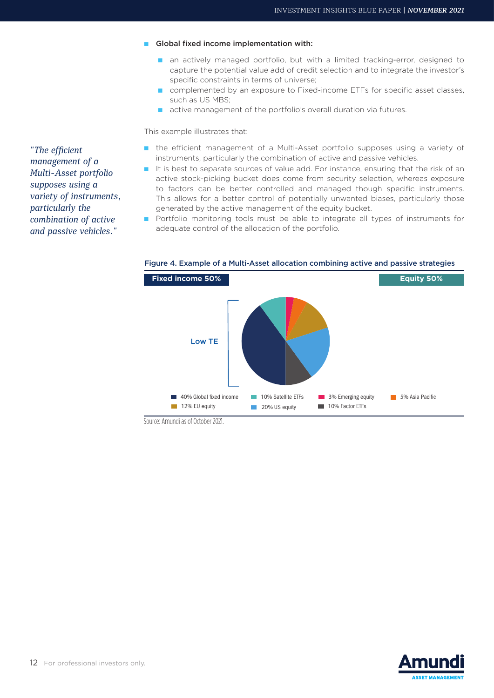- Global fixed income implementation with:
	- an actively managed portfolio, but with a limited tracking-error, designed to capture the potential value add of credit selection and to integrate the investor's specific constraints in terms of universe;
	- complemented by an exposure to Fixed-income ETFs for specific asset classes, such as US MBS;
	- active management of the portfolio's overall duration via futures.

This example illustrates that:

- the efficient management of a Multi-Asset portfolio supposes using a variety of instruments, particularly the combination of active and passive vehicles.
- It is best to separate sources of value add. For instance, ensuring that the risk of an active stock-picking bucket does come from security selection, whereas exposure to factors can be better controlled and managed though specific instruments. This allows for a better control of potentially unwanted biases, particularly those generated by the active management of the equity bucket.
- Portfolio monitoring tools must be able to integrate all types of instruments for adequate control of the allocation of the portfolio.



Figure 4. Example of a Multi-Asset allocation combining active and passive strategies

Source: Amundi as of October 2021.



*"The efficient management of a Multi-Asset portfolio supposes using a variety of instruments, particularly the combination of active and passive vehicles."*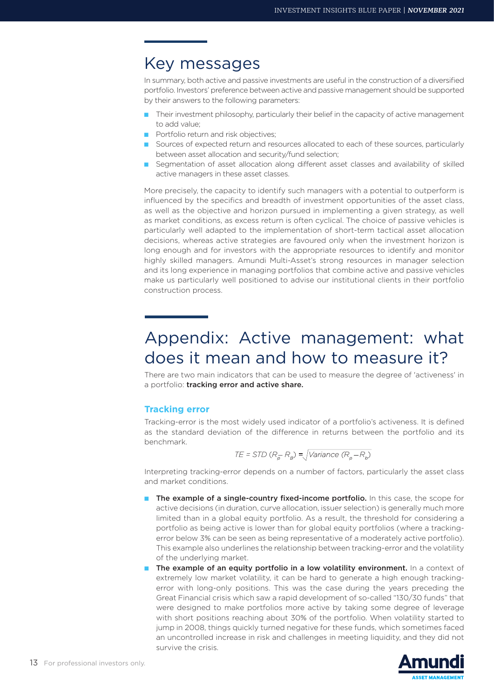# Key messages

In summary, both active and passive investments are useful in the construction of a diversified portfolio. Investors' preference between active and passive management should be supported by their answers to the following parameters:

- Their investment philosophy, particularly their belief in the capacity of active management to add value;
- Portfolio return and risk objectives;
- Sources of expected return and resources allocated to each of these sources, particularly between asset allocation and security/fund selection;
- Segmentation of asset allocation along different asset classes and availability of skilled active managers in these asset classes.

More precisely, the capacity to identify such managers with a potential to outperform is influenced by the specifics and breadth of investment opportunities of the asset class, as well as the objective and horizon pursued in implementing a given strategy, as well as market conditions, as excess return is often cyclical. The choice of passive vehicles is particularly well adapted to the implementation of short-term tactical asset allocation decisions, whereas active strategies are favoured only when the investment horizon is long enough and for investors with the appropriate resources to identify and monitor highly skilled managers. Amundi Multi-Asset's strong resources in manager selection and its long experience in managing portfolios that combine active and passive vehicles make us particularly well positioned to advise our institutional clients in their portfolio construction process.

# Appendix: Active management: what does it mean and how to measure it?

There are two main indicators that can be used to measure the degree of 'activeness' in a portfolio: tracking error and active share.

# **Tracking error**

Tracking-error is the most widely used indicator of a portfolio's activeness. It is defined as the standard deviation of the difference in returns between the portfolio and its benchmark.

$$
TE = STD (R_{\overline{p}} - R_{\overline{p}}) = \sqrt{Variance (R_{\overline{p}} - R_{\overline{p}})}
$$

Interpreting tracking-error depends on a number of factors, particularly the asset class and market conditions.

- The example of a single-country fixed-income portfolio. In this case, the scope for active decisions (in duration, curve allocation, issuer selection) is generally much more limited than in a global equity portfolio. As a result, the threshold for considering a portfolio as being active is lower than for global equity portfolios (where a trackingerror below 3% can be seen as being representative of a moderately active portfolio). This example also underlines the relationship between tracking-error and the volatility of the underlying market.
- The example of an equity portfolio in a low volatility environment. In a context of extremely low market volatility, it can be hard to generate a high enough trackingerror with long-only positions. This was the case during the years preceding the Great Financial crisis which saw a rapid development of so-called "130/30 funds" that were designed to make portfolios more active by taking some degree of leverage with short positions reaching about 30% of the portfolio. When volatility started to jump in 2008, things quickly turned negative for these funds, which sometimes faced an uncontrolled increase in risk and challenges in meeting liquidity, and they did not survive the crisis.

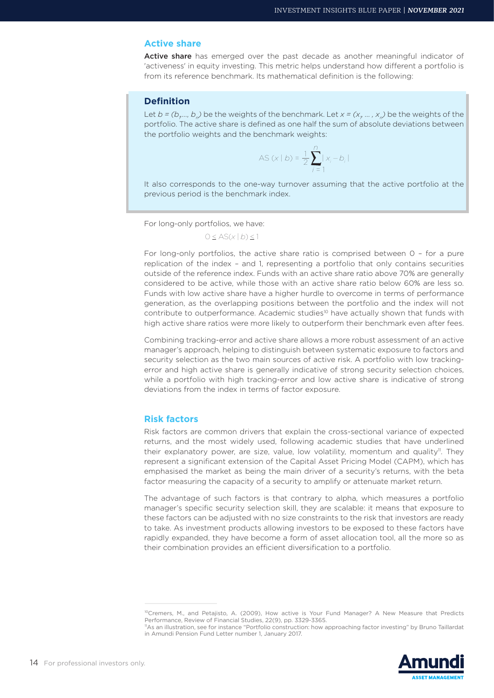### **Active share**

Active share has emerged over the past decade as another meaningful indicator of 'activeness' in equity investing. This metric helps understand how different a portfolio is from its reference benchmark. Its mathematical definition is the following:

# **Definition**

Let  $b = (b, ..., b)$  be the weights of the benchmark. Let  $x = (x, ..., x)$  be the weights of the portfolio. The active share is defined as one half the sum of absolute deviations between the portfolio weights and the benchmark weights:

$$
AS(x | b) = \frac{1}{2} \sum_{i=1}^{n} |x_i - b_i|
$$

It also corresponds to the one-way turnover assuming that the active portfolio at the previous period is the benchmark index.

For long-only portfolios, we have:

 $0 \leq AS(x | b) \leq 1$ 

For long-only portfolios, the active share ratio is comprised between 0 – for a pure replication of the index – and 1, representing a portfolio that only contains securities outside of the reference index. Funds with an active share ratio above 70% are generally considered to be active, while those with an active share ratio below 60% are less so. Funds with low active share have a higher hurdle to overcome in terms of performance generation, as the overlapping positions between the portfolio and the index will not contribute to outperformance. Academic studies<sup>10</sup> have actually shown that funds with high active share ratios were more likely to outperform their benchmark even after fees.

Combining tracking-error and active share allows a more robust assessment of an active manager's approach, helping to distinguish between systematic exposure to factors and security selection as the two main sources of active risk. A portfolio with low trackingerror and high active share is generally indicative of strong security selection choices, while a portfolio with high tracking-error and low active share is indicative of strong deviations from the index in terms of factor exposure.

## **Risk factors**

Risk factors are common drivers that explain the cross-sectional variance of expected returns, and the most widely used, following academic studies that have underlined their explanatory power, are size, value, low volatility, momentum and quality<sup>11</sup>. They represent a significant extension of the Capital Asset Pricing Model (CAPM), which has emphasised the market as being the main driver of a security's returns, with the beta factor measuring the capacity of a security to amplify or attenuate market return.

The advantage of such factors is that contrary to alpha, which measures a portfolio manager's specific security selection skill, they are scalable: it means that exposure to these factors can be adjusted with no size constraints to the risk that investors are ready to take. As investment products allowing investors to be exposed to these factors have rapidly expanded, they have become a form of asset allocation tool, all the more so as their combination provides an efficient diversification to a portfolio.

in Amundi Pension Fund Letter number 1, January 2017.



<sup>&</sup>lt;sup>10</sup>Cremers, M., and Petajisto, A. (2009), How active is Your Fund Manager? A New Measure that Predicts Performance, Review of Financial Studies, 22(9), pp. 3329-3365. 11As an illustration, see for instance "Portfolio construction: how approaching factor investing" by Bruno Taillardat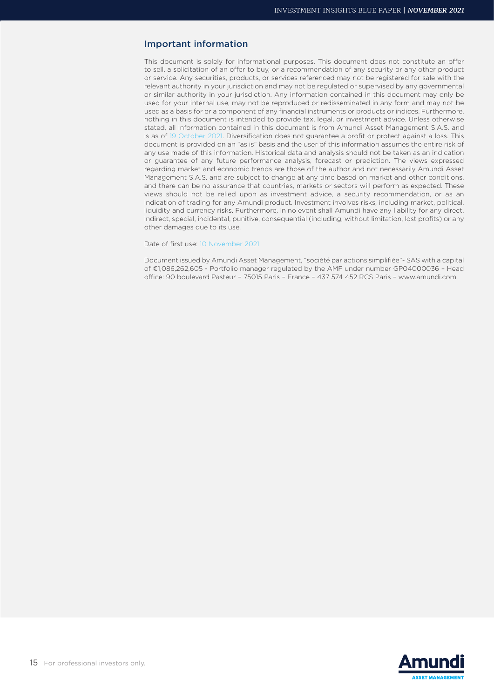## Important information

This document is solely for informational purposes. This document does not constitute an offer to sell, a solicitation of an offer to buy, or a recommendation of any security or any other product or service. Any securities, products, or services referenced may not be registered for sale with the relevant authority in your jurisdiction and may not be regulated or supervised by any governmental or similar authority in your jurisdiction. Any information contained in this document may only be used for your internal use, may not be reproduced or redisseminated in any form and may not be used as a basis for or a component of any financial instruments or products or indices. Furthermore, nothing in this document is intended to provide tax, legal, or investment advice. Unless otherwise stated, all information contained in this document is from Amundi Asset Management S.A.S. and is as of 19 October 2021. Diversification does not guarantee a profit or protect against a loss. This document is provided on an "as is" basis and the user of this information assumes the entire risk of any use made of this information. Historical data and analysis should not be taken as an indication or guarantee of any future performance analysis, forecast or prediction. The views expressed regarding market and economic trends are those of the author and not necessarily Amundi Asset Management S.A.S. and are subject to change at any time based on market and other conditions, and there can be no assurance that countries, markets or sectors will perform as expected. These views should not be relied upon as investment advice, a security recommendation, or as an indication of trading for any Amundi product. Investment involves risks, including market, political, liquidity and currency risks. Furthermore, in no event shall Amundi have any liability for any direct, indirect, special, incidental, punitive, consequential (including, without limitation, lost profits) or any other damages due to its use.

Date of first use: 10 November 2021.

Document issued by Amundi Asset Management, "société par actions simplifiée"- SAS with a capital of €1,086,262,605 - Portfolio manager regulated by the AMF under number GP04000036 – Head office: 90 boulevard Pasteur – 75015 Paris – France – 437 574 452 RCS Paris – www.amundi.com.